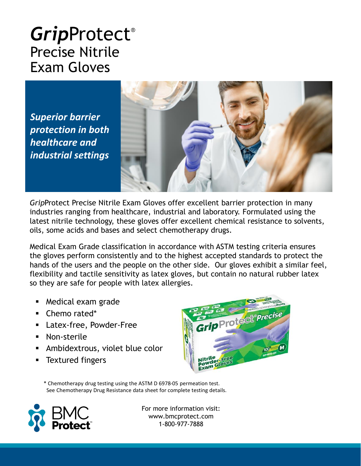## *Grip*Protect® Precise Nitrile Exam Gloves

*Superior barrier protection in both healthcare and industrial settings*



*Grip*Protect Precise Nitrile Exam Gloves offer excellent barrier protection in many industries ranging from healthcare, industrial and laboratory. Formulated using the latest nitrile technology, these gloves offer excellent chemical resistance to solvents, oils, some acids and bases and select chemotherapy drugs.

Medical Exam Grade classification in accordance with ASTM testing criteria ensures the gloves perform consistently and to the highest accepted standards to protect the hands of the users and the people on the other side. Our gloves exhibit a similar feel, flexibility and tactile sensitivity as latex gloves, but contain no natural rubber latex so they are safe for people with latex allergies.

- Medical exam grade
- Chemo rated\*
- Latex-free, Powder-Free
- Non-sterile
- Ambidextrous, violet blue color
- **Textured fingers**



\* Chemotherapy drug testing using the ASTM D 6978-05 permeation test. See Chemotherapy Drug Resistance data sheet for complete testing details.



For more information visit: www.bmcprotect.com 1-800-977-7888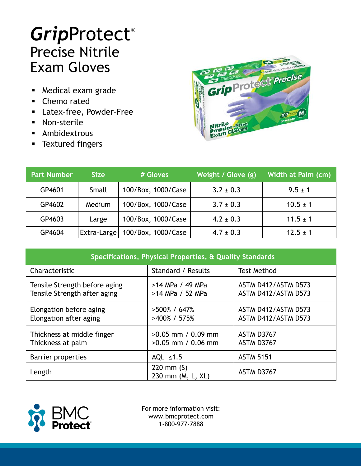## *Grip*Protect® Precise Nitrile Exam Gloves

- Medical exam grade
- Chemo rated
- Latex-free, Powder-Free
- Non-sterile
- Ambidextrous
- **■** Textured fingers



| <b>Part Number</b> | <b>Size</b> | # Gloves           | Weight / Glove (g) | Width at Palm (cm) |
|--------------------|-------------|--------------------|--------------------|--------------------|
| GP4601             | Small       | 100/Box, 1000/Case | $3.2 \pm 0.3$      | $9.5 \pm 1$        |
| GP4602             | Medium      | 100/Box, 1000/Case | $3.7 \pm 0.3$      | $10.5 \pm 1$       |
| GP4603             | Large       | 100/Box, 1000/Case | $4.2 \pm 0.3$      | $11.5 \pm 1$       |
| GP4604             | Extra-Large | 100/Box, 1000/Case | $4.7 \pm 0.3$      | $12.5 \pm 1$       |

| Specifications, Physical Properties, & Quality Standards      |                                              |                                            |  |  |
|---------------------------------------------------------------|----------------------------------------------|--------------------------------------------|--|--|
| Characteristic                                                | Standard / Results                           | <b>Test Method</b>                         |  |  |
| Tensile Strength before aging<br>Tensile Strength after aging | >14 MPa / 49 MPa<br>>14 MPa / 52 MPa         | ASTM D412/ASTM D573<br>ASTM D412/ASTM D573 |  |  |
| Elongation before aging<br>Elongation after aging             | $>500\%$ / 647\%<br>>400% / 575%             | ASTM D412/ASTM D573<br>ASTM D412/ASTM D573 |  |  |
| Thickness at middle finger<br>Thickness at palm               | $>0.05$ mm / 0.09 mm<br>$>0.05$ mm / 0.06 mm | ASTM D3767<br><b>ASTM D3767</b>            |  |  |
| Barrier properties                                            | AQL $\leq 1.5$                               | <b>ASTM 5151</b>                           |  |  |
| Length                                                        | 220 mm $(S)$<br>230 mm (M, L, XL)            | ASTM D3767                                 |  |  |



For more information visit: www.bmcprotect.com 1-800-977-7888